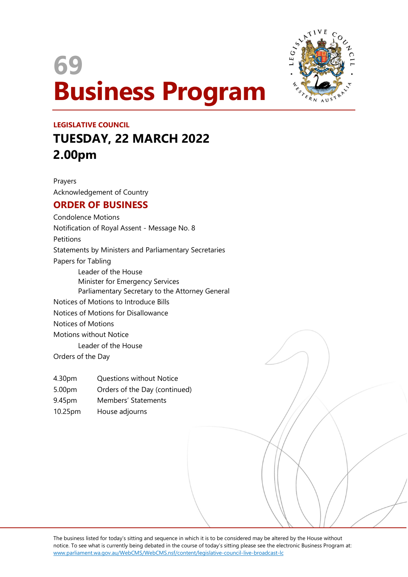



# LEGISLATIVE COUNCIL TUESDAY, 22 MARCH 2022 2.00pm

Prayers Acknowledgement of Country

## ORDER OF BUSINESS

Condolence Motions Notification of Royal Assent - Message No. 8 Petitions Statements by Ministers and Parliamentary Secretaries Papers for Tabling Leader of the House Minister for Emergency Services Parliamentary Secretary to the Attorney General Notices of Motions to Introduce Bills Notices of Motions for Disallowance Notices of Motions Motions without Notice Leader of the House Orders of the Day

- 4.30pm Questions without Notice
- 5.00pm Orders of the Day (continued)
- 9.45pm Members' Statements
- 10.25pm House adjourns

The business listed for today's sitting and sequence in which it is to be considered may be altered by the House without notice. To see what is currently being debated in the course of today's sitting please see the electronic Business Program at: www.parliament.wa.gov.au/WebCMS/WebCMS.nsf/content/legislative-council-live-broadcast-lc